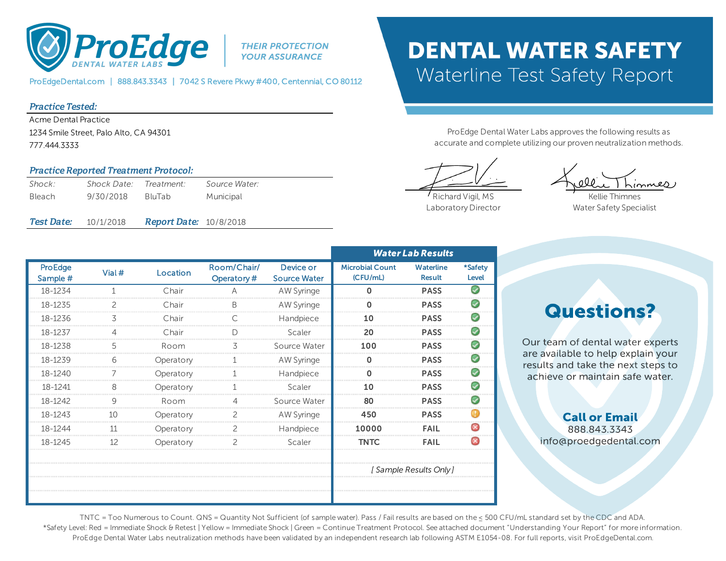

**THEIR PROTECTION YOUR ASSURANCE** 

ProEdgeDental.com | 888.843.3343 | 7042 S Revere Pkwy #400, Centennial, CO 80112

### Practice Tested:

Acme Dental Practice 1234 Smile Street, Palo Alto, CA 94301 777.444.3333

### Practice Reported Treatment Protocol:

| Shock:            | Shock Date: Treatment: |                               | Source Water: |  |
|-------------------|------------------------|-------------------------------|---------------|--|
| <b>Bleach</b>     | 9/30/2018              | BluTab                        | Municipal     |  |
|                   |                        |                               |               |  |
| <i>Test Date:</i> | 10/1/2018              | <b>Report Date: 10/8/2018</b> |               |  |

## **DENTAL WATER SAFETY Waterline Test Safety Report**

ProEdge Dental Water Labs approves the following results as accurate and complete utilizing our proven neutralization methods.

 $me$ 

Richard Vigil, MS Laboratory Director

Kellie Thimnes Water Safety Specialist

|                            |        |           |                           |                                  | <b>Water Lab Results</b>           |                                   |                         |
|----------------------------|--------|-----------|---------------------------|----------------------------------|------------------------------------|-----------------------------------|-------------------------|
| <b>ProEdge</b><br>Sample # | Vial # | Location  | Room/Chair/<br>Operatory# | Device or<br><b>Source Water</b> | <b>Microbial Count</b><br>(CFU/mL) | <b>Waterline</b><br><b>Result</b> | *Safety<br><b>Level</b> |
| 18-1234                    |        | Chair     |                           | AW Syringe                       | O                                  | <b>PASS</b>                       |                         |
| 18-1235                    |        | Chair     |                           | AW Syringe                       |                                    | <b>PASS</b>                       |                         |
| 18-1236                    |        | Chair     |                           | Handpiece                        |                                    | <b>PASS</b>                       |                         |
| 18-1237                    |        | Chair     |                           | Scaler                           |                                    | <b>PASS</b>                       |                         |
| 18-1238                    |        | Room      |                           | Source Water                     | 100                                | <b>PASS</b>                       |                         |
| 18-1239                    |        | Operatory |                           | AW Syringe                       |                                    | <b>PASS</b>                       |                         |
| 18-1240                    |        | Operatory |                           | Handpiece                        |                                    | <b>PASS</b>                       |                         |
| 18-1241                    |        | Operatory |                           | Scaler                           |                                    | <b>PASS</b>                       |                         |
| 18-1242                    |        | Room      |                           | Source Water                     |                                    | <b>PASS</b>                       |                         |
| 18-1243                    |        | Operatory |                           | AW Syringe                       | 450                                | <b>PASS</b>                       |                         |
| 18-1244                    |        | Operatory |                           | Handpiece                        | 10000                              | FAIL                              |                         |
| 18-1245                    |        | Operatory |                           | Scaler                           | TNTC                               | FAIL                              |                         |
|                            |        |           |                           |                                  |                                    |                                   |                         |
|                            |        |           |                           |                                  | ' Sample Results Only j            |                                   |                         |
|                            |        |           |                           |                                  |                                    |                                   |                         |
|                            |        |           |                           |                                  |                                    |                                   |                         |

**Questions?** 

Our team of dental water experts are available to help explain your results and take the next steps to achieve or maintain safe water.

### **Call or Email** 888.843.3343 info@proedgedental.com

TNTC = Too Numerous to Count. QNS = Quantity Not Sufficient (of sample water). Pass / Fail results are based on the ≤ 500 CFU/mL standard set by the CDC and ADA. \*Safety Level: Red = Immediate Shock & Retest | Yellow = Immediate Shock | Green = Continue Treatment Protocol. See attached document "Understanding Your Report" for more information. ProEdge Dental Water Labs neutralization methods have been validated by an independent research lab following ASTM E1054-08. For full reports, visit ProEdgeDental.com.